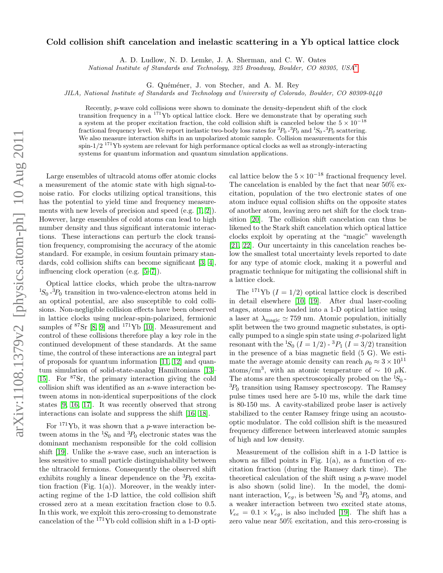## arXiv:1108.1379v2 [physics.atom-ph] 10 Aug 2011 arXiv:1108.1379v2 [physics.atom-ph] 10 Aug 2011

## Cold collision shift cancelation and inelastic scattering in a Yb optical lattice clock

A. D. Ludlow, N. D. Lemke, J. A. Sherman, and C. W. Oates

National Institute of Standards and Technology, 325 Broadway, Boulder, CO 80305, USA[∗](#page-3-0)

G. Quéméner, J. von Stecher, and A. M. Rey

JILA, National Institute of Standards and Technology and University of Colorado, Boulder, CO 80309-0440

Recently, p-wave cold collisions were shown to dominate the density-dependent shift of the clock transition frequency in a  $171\text{Yb}$  optical lattice clock. Here we demonstrate that by operating such a system at the proper excitation fraction, the cold collision shift is canceled below the  $5 \times 10^{-18}$ fractional frequency level. We report inelastic two-body loss rates for  ${}^{3}P_0$  - ${}^{3}P_0$  and  ${}^{1}S_0$  - ${}^{3}P_0$  scattering. We also measure interaction shifts in an unpolarized atomic sample. Collision measurements for this spin- $1/2$ <sup>171</sup>Yb system are relevant for high performance optical clocks as well as strongly-interacting systems for quantum information and quantum simulation applications.

Large ensembles of ultracold atoms offer atomic clocks a measurement of the atomic state with high signal-tonoise ratio. For clocks utilizing optical transitions, this has the potential to yield time and frequency measurements with new levels of precision and speed (e.g. [\[1,](#page-3-1) [2\]](#page-3-2)). However, large ensembles of cold atoms can lead to high number density and thus significant interatomic interactions. These interactions can perturb the clock transition frequency, compromising the accuracy of the atomic standard. For example, in cesium fountain primary standards, cold collision shifts can become significant [\[3,](#page-3-3) [4\]](#page-3-4), influencing clock operation (e.g. [\[5–](#page-3-5)[7\]](#page-3-6)).

Optical lattice clocks, which probe the ultra-narrow  ${}^{1}S_{0}$  - ${}^{3}P_{0}$  transition in two-valence-electron atoms held in an optical potential, are also susceptible to cold collisions. Non-negligible collision effects have been observed in lattice clocks using nuclear-spin-polarized, fermionic samples of  $87\$ Sr [\[8,](#page-3-7) [9\]](#page-3-8) and  $171\$ Yb [\[10\]](#page-3-9). Measurement and control of these collisions therefore play a key role in the continued development of these standards. At the same time, the control of these interactions are an integral part of proposals for quantum information [\[11,](#page-3-10) [12\]](#page-3-11) and quantum simulation of solid-state-analog Hamiltonians [\[13–](#page-3-12) 15. For  ${}^{87}Sr$ , the primary interaction giving the cold collision shift was identified as an s-wave interaction between atoms in non-identical superpositions of the clock states [\[9,](#page-3-8) [16,](#page-3-14) [17\]](#page-3-15). It was recently observed that strong interactions can isolate and suppress the shift [\[16,](#page-3-14) [18\]](#page-3-16).

For  $171\text{Yb}$ , it was shown that a *p*-wave interaction between atoms in the  ${}^{1}S_0$  and  ${}^{3}P_0$  electronic states was the dominant mechanism responsible for the cold collision shift [\[19\]](#page-3-17). Unlike the s-wave case, such an interaction is less sensitive to small particle distinguishability between the ultracold fermions. Consequently the observed shift exhibits roughly a linear dependence on the  ${}^{3}P_0$  excitation fraction (Fig.  $1(a)$ ). Moreover, in the weakly interacting regime of the 1-D lattice, the cold collision shift crossed zero at a mean excitation fraction close to 0.5. In this work, we exploit this zero-crossing to demonstrate cancelation of the <sup>171</sup>Yb cold collision shift in a 1-D opti-

cal lattice below the  $5\times 10^{-18}$  fractional frequency level. The cancelation is enabled by the fact that near 50% excitation, population of the two electronic states of one atom induce equal collision shifts on the opposite states of another atom, leaving zero net shift for the clock transition [\[20\]](#page-3-18). The collision shift cancelation can thus be likened to the Stark shift cancelation which optical lattice clocks exploit by operating at the "magic" wavelength [\[21,](#page-4-0) [22\]](#page-4-1). Our uncertainty in this cancelation reaches below the smallest total uncertainty levels reported to date for any type of atomic clock, making it a powerful and pragmatic technique for mitigating the collisional shift in a lattice clock.

The <sup>171</sup>Yb  $(I = 1/2)$  optical lattice clock is described in detail elsewhere [\[10,](#page-3-9) [19\]](#page-3-17). After dual laser-cooling stages, atoms are loaded into a 1-D optical lattice using a laser at  $\lambda_{\text{magic}} \simeq 759 \text{ nm}$ . Atomic population, initially split between the two ground magnetic substates, is optically pumped to a single spin state using  $\sigma$ -polarized light resonant with the  ${}^{1}S_0$  ( $I = 1/2$ ) -  ${}^{3}P_1$  ( $I = 3/2$ ) transition in the presence of a bias magnetic field (5 G). We estimate the average atomic density can reach  $\rho_0 \approx 3 \times 10^{11}$ atoms/cm<sup>3</sup>, with an atomic temperature of  $\sim 10 \mu$ K. The atoms are then spectroscopically probed on the  ${}^{1}S_{0}$ - ${}^{3}P_0$  transition using Ramsey spectroscopy. The Ramsey pulse times used here are 5-10 ms, while the dark time is 80-150 ms. A cavity-stabilized probe laser is actively stabilized to the center Ramsey fringe using an acoustooptic modulator. The cold collision shift is the measured frequency difference between interleaved atomic samples of high and low density.

Measurement of the collision shift in a 1-D lattice is shown as filled points in Fig.  $1(a)$ , as a function of excitation fraction (during the Ramsey dark time). The theoretical calculation of the shift using a p-wave model is also shown (solid line). In the model, the dominant interaction,  $V_{ea}$ , is between  ${}^{1}S_{0}$  and  ${}^{3}P_{0}$  atoms, and a weaker interaction between two excited state atoms,  $V_{ee} = 0.1 \times V_{eg}$ , is also included [\[19\]](#page-3-17). The shift has a zero value near 50% excitation, and this zero-crossing is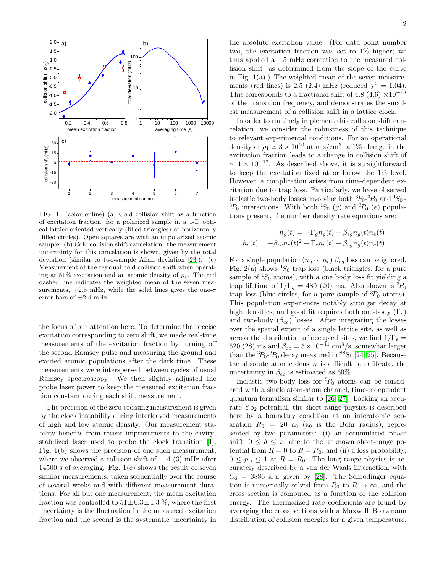

FIG. 1: (color online) (a) Cold collision shift as a function of excitation fraction, for a polarized sample in a 1-D optical lattice oriented vertically (filled triangles) or horizontally (filled circles). Open squares are with an unpolarized atomic sample. (b) Cold collision shift cancelation: the measurement uncertainty for this cancelation is shown, given by the total deviation (similar to two-sample Allan deviation [\[23\]](#page-4-2)). (c) Measurement of the residual cold collision shift when operating at 51% excitation and an atomic density of  $\rho_1$ . The red dashed line indicates the weighted mean of the seven measurements,  $+2.5$  mHz, while the solid lines gives the one- $\sigma$ error bars of  $\pm 2.4$  mHz.

the focus of our attention here. To determine the precise excitation corresponding to zero shift, we made real-time measurements of the excitation fraction by turning off the second Ramsey pulse and measuring the ground and excited atomic populations after the dark time. These measurements were interspersed between cycles of usual Ramsey spectroscopy. We then slightly adjusted the probe laser power to keep the measured excitation fraction constant during each shift measurement.

The precision of the zero-crossing measurement is given by the clock instability during interleaved measurements of high and low atomic density. Our measurement stability benefits from recent improvements to the cavitystabilized laser used to probe the clock transition [\[1\]](#page-3-1). Fig. 1(b) shows the precision of one such measurement, where we observed a collision shift of -1.4 (3) mHz after 14500 s of averaging. Fig. 1(c) shows the result of seven similar measurements, taken sequentially over the course of several weeks and with different measurement durations. For all but one measurement, the mean excitation fraction was controlled to  $51 \pm 0.3 \pm 1.3$  %, where the first uncertainty is the fluctuation in the measured excitation fraction and the second is the systematic uncertainty in

the absolute excitation value. (For data point number two, the excitation fraction was set to 1% higher; we thus applied a −5 mHz correction to the measured collision shift, as determined from the slope of the curve in Fig.  $1(a)$ .) The weighted mean of the seven measurements (red lines) is 2.5 (2.4) mHz (reduced  $\chi^2 = 1.04$ ). This corresponds to a fractional shift of 4.8 (4.6)  $\times 10^{-18}$ of the transition frequency, and demonstrates the smallest measurement of a collision shift in a lattice clock.

In order to routinely implement this collision shift cancelation, we consider the robustness of this technique to relevant experimental conditions. For an operational density of  $\rho_1 \simeq 3 \times 10^{10}$  atoms/cm<sup>3</sup>, a 1% change in the excitation fraction leads to a change in collision shift of  $\sim 1 \times 10^{-17}$ . As described above, it is straightforward to keep the excitation fixed at or below the 1% level. However, a complication arises from time-dependent excitation due to trap loss. Particularly, we have observed inelastic two-body losses involving both  ${}^{3}P_{0}$ - ${}^{3}P_{0}$  and  ${}^{1}S_{0}$ - ${}^{3}P_0$  interactions. With both  ${}^{1}S_0$  (g) and  ${}^{3}P_0$  (e) populations present, the number density rate equations are:

$$
\dot{n}_g(t) = -\Gamma_g n_g(t) - \beta_{eg} n_g(t) n_e(t)
$$

$$
\dot{n}_e(t) = -\beta_{ee} n_e(t)^2 - \Gamma_e n_e(t) - \beta_{eg} n_g(t) n_e(t)
$$

For a single population  $(n_q \text{ or } n_e) \beta_{eq}$  loss can be ignored. Fig. 2(a) shows  ${}^{1}S_0$  trap loss (black triangles, for a pure sample of  ${}^{1}S_{0}$  atoms), with a one body loss fit yielding a trap lifetime of  $1/\Gamma_g = 480$  (20) ms. Also shown is  ${}^{3}P_0$ trap loss (blue circles, for a pure sample of  ${}^{3}P_0$  atoms). This population experiences notably stronger decay at high densities, and good fit requires both one-body  $(\Gamma_e)$ and two-body  $(\beta_{ee})$  losses. After integrating the losses over the spatial extent of a single lattice site, as well as across the distribution of occupied sites, we find  $1/\Gamma_e =$ 520 (28) ms and  $\beta_{ee} = 5 \times 10^{-11}$  cm<sup>3</sup>/s, somewhat larger than the  ${}^{3}P_{0}$ - ${}^{3}P_{0}$  decay measured in  ${}^{88}Sr$  [\[24,](#page-4-3) [25\]](#page-4-4). Because the absolute atomic density is difficult to calibrate, the uncertainty in  $\beta_{ee}$  is estimated as 60%.

Inelastic two-body loss for  ${}^{3}P_0$  atoms can be considered with a single atom-atom channel, time-independent quantum formalism similar to [\[26,](#page-4-5) [27\]](#page-4-6). Lacking an accurate  $Yb_2$  potential, the short range physics is described here by a boundary condition at an interatomic separation  $R_0 = 20$  a<sub>0</sub> (a<sub>0</sub> is the Bohr radius), represented by two parameters: (i) an accumulated phase shift,  $0 \leq \delta \leq \pi$ , due to the unknown short-range potential from  $R = 0$  to  $R = R_0$ , and (ii) a loss probability,  $0 \leq p_{\rm ls} \leq 1$  at  $R = R_0$ . The long range physics is accurately described by a van der Waals interaction, with  $C_6 = 3886$  a.u. given by [\[28\]](#page-4-7). The Schrödinger equation is numerically solved from  $R_0$  to  $R \to \infty$ , and the cross section is computed as a function of the collision energy. The thermalized rate coefficients are found by averaging the cross sections with a Maxwell–Boltzmann distribution of collision energies for a given temperature.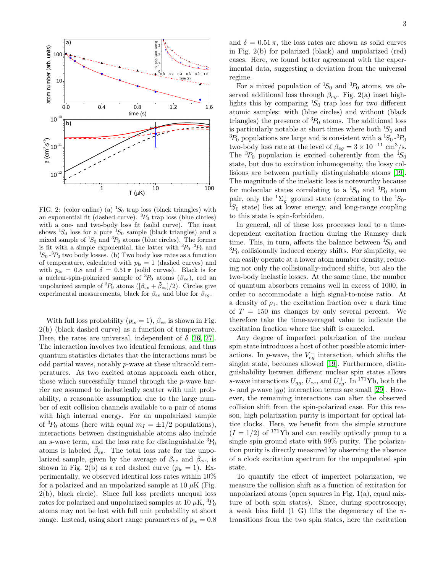

FIG. 2: (color online) (a)  ${}^{1}S_{0}$  trap loss (black triangles) with an exponential fit (dashed curve).  ${}^{3}P_0$  trap loss (blue circles) with a one- and two-body loss fit (solid curve). The inset shows  ${}^{1}S_{0}$  loss for a pure  ${}^{1}S_{0}$  sample (black triangles) and a mixed sample of  ${}^{1}S_{0}$  and  ${}^{3}P_{0}$  atoms (blue circles). The former is fit with a simple exponential, the latter with  ${}^{3}P_{0}$  - ${}^{3}P_{0}$  and  ${}^{1}S_{0}$  - ${}^{3}P_{0}$  two body losses. (b) Two body loss rates as a function of temperature, calculated with  $p_{\text{ls}} = 1$  (dashed curves) and with  $p_{\text{ls}} = 0.8$  and  $\delta = 0.51 \pi$  (solid curves). Black is for a nuclear-spin-polarized sample of  ${}^{3}P_0$  atoms ( $\beta_{ee}$ ), red an unpolarized sample of <sup>3</sup> $P_0$  atoms ([ $\beta_{ee} + \tilde{\beta}_{ee}$ ]/2). Circles give experimental measurements, black for  $\beta_{ee}$  and blue for  $\beta_{eq}$ .

With full loss probability  $(p_{\text{ls}} = 1)$ ,  $\beta_{ee}$  is shown in Fig. 2(b) (black dashed curve) as a function of temperature. Here, the rates are universal, independent of  $\delta$  [\[26,](#page-4-5) [27\]](#page-4-6). The interaction involves two identical fermions, and thus quantum statistics dictates that the interactions must be odd partial waves, notably p-wave at these ultracold temperatures. As two excited atoms approach each other, those which successfully tunnel through the p-wave barrier are assumed to inelastically scatter with unit probability, a reasonable assumption due to the large number of exit collision channels available to a pair of atoms with high internal energy. For an unpolarized sample of  ${}^{3}P_0$  atoms (here with equal  $m_I = \pm 1/2$  populations), interactions between distinguishable atoms also include an s-wave term, and the loss rate for distinguishable  ${}^{3}P_0$ atoms is labeled  $\tilde{\beta}_{ee}$ . The total loss rate for the unpolarized sample, given by the average of  $\beta_{ee}$  and  $\tilde{\beta}_{ee}$ , is shown in Fig. 2(b) as a red dashed curve  $(p_{\rm ls} = 1)$ . Experimentally, we observed identical loss rates within 10% for a polarized and an unpolarized sample at 10  $\mu$ K (Fig. 2(b), black circle). Since full loss predicts unequal loss rates for polarized and unpolarized samples at 10  $\mu$ K,  $^{3}P_{0}$ atoms may not be lost with full unit probability at short range. Instead, using short range parameters of  $p_{\text{ls}} = 0.8$  and  $\delta = 0.51 \pi$ , the loss rates are shown as solid curves in Fig. 2(b) for polarized (black) and unpolarized (red) cases. Here, we found better agreement with the experimental data, suggesting a deviation from the universal regime.

For a mixed population of  ${}^{1}S_{0}$  and  ${}^{3}P_{0}$  atoms, we observed additional loss through  $\beta_{eq}$ . Fig. 2(a) inset highlights this by comparing  ${}^{1}S_{0}$  trap loss for two different atomic samples: with (blue circles) and without (black triangles) the presence of  ${}^{3}P_0$  atoms. The additional loss is particularly notable at short times where both  ${}^{1}S_{0}$  and  ${}^{3}P_0$  populations are large and is consistent with a  ${}^{1}S_0$ - ${}^{3}P_0$ two-body loss rate at the level of  $\beta_{eg} = 3 \times 10^{-11}$  cm<sup>3</sup>/s. The  ${}^{3}P_0$  population is excited coherently from the  ${}^{1}S_0$ state, but due to excitation inhomogeneity, the lossy collisions are between partially distinguishable atoms [\[19\]](#page-3-17). The magnitude of the inelastic loss is noteworthy because for molecular states correlating to a  ${}^{1}S_{0}$  and  ${}^{3}P_{0}$  atom pair, only the  ${}^{1}\Sigma_{g}^{+}$  ground state (correlating to the  ${}^{1}S_{0}$ - ${}^{1}S_{0}$  state) lies at lower energy, and long-range coupling to this state is spin-forbidden.

In general, all of these loss processes lead to a timedependent excitation fraction during the Ramsey dark time. This, in turn, affects the balance between  ${}^{1}S_{0}$  and  ${}^{3}P_0$  collisionally induced energy shifts. For simplicity, we can easily operate at a lower atom number density, reducing not only the collisionally-induced shifts, but also the two-body inelastic losses. At the same time, the number of quantum absorbers remains well in excess of 1000, in order to accommodate a high signal-to-noise ratio. At a density of  $\rho_1$ , the excitation fraction over a dark time of  $T = 150$  ms changes by only several percent. We therefore take the time-averaged value to indicate the excitation fraction where the shift is canceled.

Any degree of imperfect polarization of the nuclear spin state introduces a host of other possible atomic interactions. In p-wave, the  $V_{eg}^-$  interaction, which shifts the singlet state, becomes allowed [\[19\]](#page-3-17). Furthermore, distinguishability between different nuclear spin states allows s-wave interactions  $U_{gg}$ ,  $U_{ee}$ , and  $U_{eg}^+$ . In <sup>171</sup>Yb, both the s- and p-wave  $|gg\rangle$  interaction terms are small [\[29\]](#page-4-8). However, the remaining interactions can alter the observed collision shift from the spin-polarized case. For this reason, high polarization purity is important for optical lattice clocks. Here, we benefit from the simple structure  $(I = 1/2)$  of <sup>171</sup>Yb and can readily optically pump to a single spin ground state with 99% purity. The polarization purity is directly measured by observing the absence of a clock excitation spectrum for the unpopulated spin state.

To quantify the effect of imperfect polarization, we measure the collision shift as a function of excitation for unpolarized atoms (open squares in Fig.  $1(a)$ , equal mixture of both spin states). Since, during spectroscopy, a weak bias field (1 G) lifts the degeneracy of the  $\pi$ transitions from the two spin states, here the excitation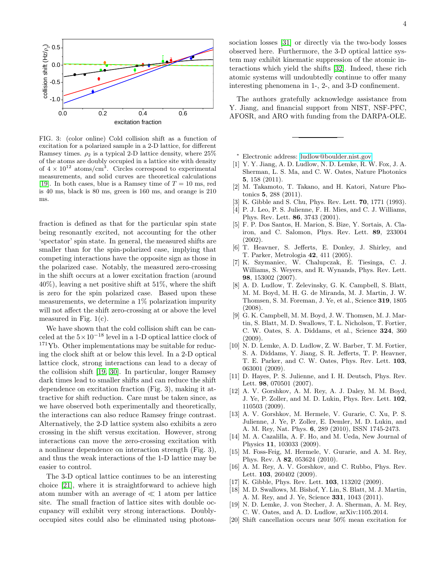

FIG. 3: (color online) Cold collision shift as a function of excitation for a polarized sample in a 2-D lattice, for different Ramsey times.  $\rho_2$  is a typical 2-D lattice density, where 25% of the atoms are doubly occupied in a lattice site with density of  $4 \times 10^{12}$  atoms/cm<sup>3</sup>. Circles correspond to experimental measurements, and solid curves are theoretical calculations [\[19\]](#page-3-17). In both cases, blue is a Ramsey time of  $T = 10$  ms, red is 40 ms, black is 80 ms, green is 160 ms, and orange is 210 ms.

fraction is defined as that for the particular spin state being resonantly excited, not accounting for the other 'spectator' spin state. In general, the measured shifts are smaller than for the spin-polarized case, implying that competing interactions have the opposite sign as those in the polarized case. Notably, the measured zero-crossing in the shift occurs at a lower excitation fraction (around  $40\%$ ), leaving a net positive shift at 51%, where the shift is zero for the spin polarized case. Based upon these measurements, we determine a 1% polarization impurity will not affect the shift zero-crossing at or above the level measured in Fig. 1(c).

We have shown that the cold collision shift can be canceled at the  $5 \times 10^{-18}$  level in a 1-D optical lattice clock of  $171\text{Yb}$ . Other implementations may be suitable for reducing the clock shift at or below this level. In a 2-D optical lattice clock, strong interactions can lead to a decay of the collision shift [\[19,](#page-3-17) [30\]](#page-4-9). In particular, longer Ramsey dark times lead to smaller shifts and can reduce the shift dependence on excitation fraction (Fig. 3), making it attractive for shift reduction. Care must be taken since, as we have observed both experimentally and theoretically, the interactions can also reduce Ramsey fringe contrast. Alternatively, the 2-D lattice system also exhibits a zero crossing in the shift versus excitation. However, strong interactions can move the zero-crossing excitation with a nonlinear dependence on interaction strength (Fig. 3), and thus the weak interactions of the 1-D lattice may be easier to control.

The 3-D optical lattice continues to be an interesting choice [\[21\]](#page-4-0), where it is straightforward to achieve high atom number with an average of  $\ll 1$  atom per lattice site. The small fraction of lattice sites with double occupancy will exhibit very strong interactions. Doublyoccupied sites could also be eliminated using photoas-

The authors gratefully acknowledge assistance from Y. Jiang, and financial support from NIST, NSF-PFC, AFOSR, and ARO with funding from the DARPA-OLE.

<span id="page-3-0"></span><sup>∗</sup> Electronic address: [ludlow@boulder.nist.gov](mailto:ludlow@boulder.nist.gov)

- <span id="page-3-1"></span>[1] Y. Y. Jiang, A. D. Ludlow, N. D. Lemke, R. W. Fox, J. A. Sherman, L. S. Ma, and C. W. Oates, Nature Photonics 5, 158 (2011).
- <span id="page-3-2"></span>[2] M. Takamoto, T. Takano, and H. Katori, Nature Photonics 5, 288 (2011).
- <span id="page-3-3"></span>[3] K. Gibble and S. Chu, Phys. Rev. Lett. **70**, 1771 (1993).
- <span id="page-3-4"></span>[4] P. J. Leo, P. S. Julienne, F. H. Mies, and C. J. Williams, Phys. Rev. Lett. 86, 3743 (2001).
- <span id="page-3-5"></span>[5] F. P. Dos Santos, H. Marion, S. Bize, Y. Sortais, A. Clairon, and C. Salomon, Phys. Rev. Lett. 89, 233004 (2002).
- [6] T. Heavner, S. Jefferts, E. Donley, J. Shirley, and T. Parker, Metrologia 42, 411 (2005).
- <span id="page-3-6"></span>[7] K. Szymaniec, W. Chalupczak, E. Tiesinga, C. J. Williams, S. Weyers, and R. Wynands, Phys. Rev. Lett. 98, 153002 (2007).
- <span id="page-3-7"></span>[8] A. D. Ludlow, T. Zelevinsky, G. K. Campbell, S. Blatt, M. M. Boyd, M. H. G. de Miranda, M. J. Martin, J. W. Thomsen, S. M. Foreman, J. Ye, et al., Science 319, 1805 (2008).
- <span id="page-3-8"></span>[9] G. K. Campbell, M. M. Boyd, J. W. Thomsen, M. J. Martin, S. Blatt, M. D. Swallows, T. L. Nicholson, T. Fortier, C. W. Oates, S. A. Diddams, et al., Science 324, 360 (2009).
- <span id="page-3-9"></span>[10] N. D. Lemke, A. D. Ludlow, Z. W. Barber, T. M. Fortier, S. A. Diddams, Y. Jiang, S. R. Jefferts, T. P. Heavner, T. E. Parker, and C. W. Oates, Phys. Rev. Lett. 103, 063001 (2009).
- <span id="page-3-10"></span>[11] D. Hayes, P. S. Julienne, and I. H. Deutsch, Phys. Rev. Lett. 98, 070501 (2007).
- <span id="page-3-11"></span>[12] A. V. Gorshkov, A. M. Rey, A. J. Daley, M. M. Boyd, J. Ye, P. Zoller, and M. D. Lukin, Phys. Rev. Lett. 102, 110503 (2009).
- <span id="page-3-12"></span>[13] A. V. Gorshkov, M. Hermele, V. Gurarie, C. Xu, P. S. Julienne, J. Ye, P. Zoller, E. Demler, M. D. Lukin, and A. M. Rey, Nat. Phys. 6, 289 (2010), ISSN 1745-2473.
- [14] M. A. Cazalilla, A. F. Ho, and M. Ueda, New Journal of Physics 11, 103033 (2009).
- <span id="page-3-13"></span>[15] M. Foss-Feig, M. Hermele, V. Gurarie, and A. M. Rey, Phys. Rev. A 82, 053624 (2010).
- <span id="page-3-14"></span>[16] A. M. Rey, A. V. Gorshkov, and C. Rubbo, Phys. Rev. Lett. 103, 260402 (2009).
- <span id="page-3-15"></span>[17] K. Gibble, Phys. Rev. Lett. **103**, 113202 (2009).
- <span id="page-3-16"></span>[18] M. D. Swallows, M. Bishof, Y. Lin, S. Blatt, M. J. Martin, A. M. Rey, and J. Ye, Science 331, 1043 (2011).
- <span id="page-3-17"></span>[19] N. D. Lemke, J. von Stecher, J. A. Sherman, A. M. Rey, C. W. Oates, and A. D. Ludlow, arXiv:1105.2014.
- <span id="page-3-18"></span>[20] Shift cancellation occurs near 50% mean excitation for